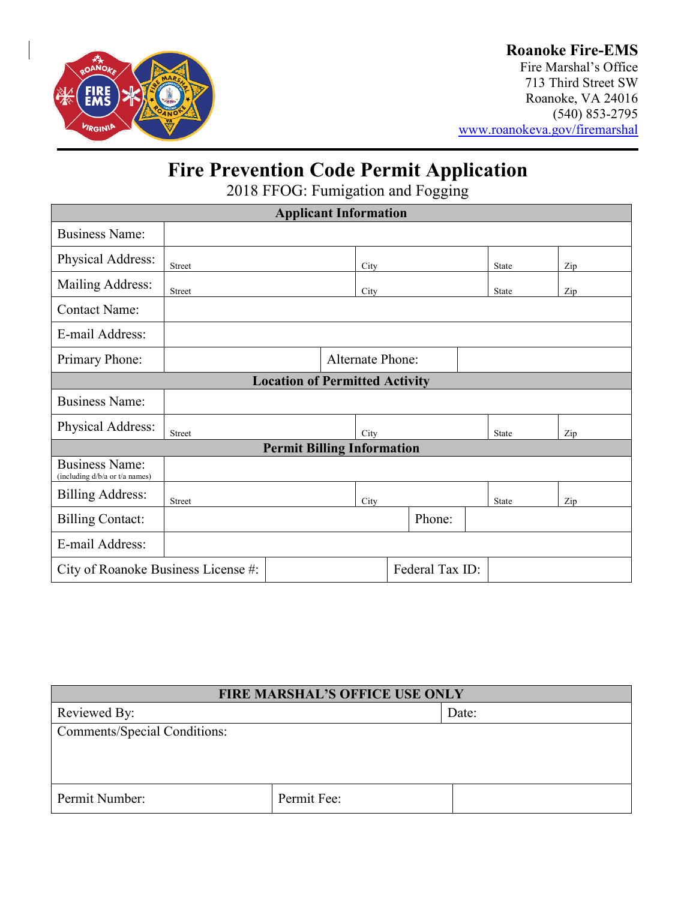

### **Roanoke Fire-EMS**

Fire Marshal's Office 713 Third Street SW Roanoke, VA 24016 (540) 853-2795 [www.roanokeva.gov/firemarshal](http://www.roanokeva.gov/firemarshal)

# **Fire Prevention Code Permit Application**

2018 FFOG: Fumigation and Fogging

| <b>Applicant Information</b>                            |               |  |      |                         |  |              |  |     |
|---------------------------------------------------------|---------------|--|------|-------------------------|--|--------------|--|-----|
| <b>Business Name:</b>                                   |               |  |      |                         |  |              |  |     |
| Physical Address:                                       | <b>Street</b> |  | City |                         |  | <b>State</b> |  | Zip |
| Mailing Address:                                        | Street        |  | City |                         |  | <b>State</b> |  | Zip |
| <b>Contact Name:</b>                                    |               |  |      |                         |  |              |  |     |
| E-mail Address:                                         |               |  |      |                         |  |              |  |     |
| Primary Phone:                                          |               |  |      | <b>Alternate Phone:</b> |  |              |  |     |
| <b>Location of Permitted Activity</b>                   |               |  |      |                         |  |              |  |     |
| <b>Business Name:</b>                                   |               |  |      |                         |  |              |  |     |
| Physical Address:                                       | Street        |  | City |                         |  | State        |  | Zip |
| <b>Permit Billing Information</b>                       |               |  |      |                         |  |              |  |     |
| <b>Business Name:</b><br>(including d/b/a or t/a names) |               |  |      |                         |  |              |  |     |
| <b>Billing Address:</b>                                 | <b>Street</b> |  | City |                         |  | <b>State</b> |  | Zip |
| <b>Billing Contact:</b>                                 |               |  |      | Phone:                  |  |              |  |     |
| E-mail Address:                                         |               |  |      |                         |  |              |  |     |
| Federal Tax ID:<br>City of Roanoke Business License #:  |               |  |      |                         |  |              |  |     |

| <b>FIRE MARSHAL'S OFFICE USE ONLY</b> |             |       |  |  |
|---------------------------------------|-------------|-------|--|--|
| Reviewed By:                          |             | Date: |  |  |
| <b>Comments/Special Conditions:</b>   |             |       |  |  |
|                                       |             |       |  |  |
|                                       |             |       |  |  |
| Permit Number:                        | Permit Fee: |       |  |  |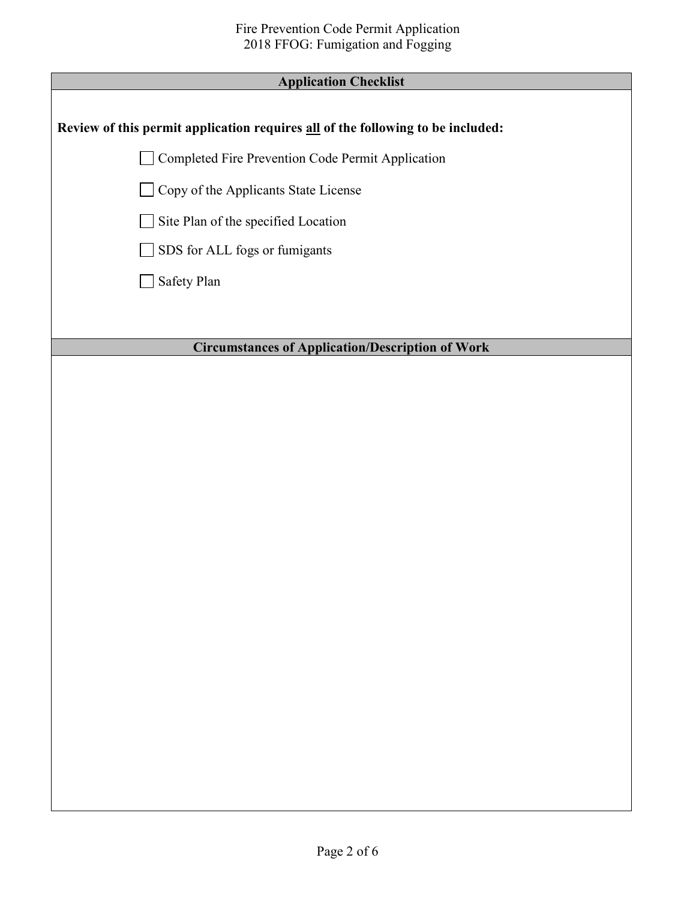#### **Application Checklist**

#### **Review of this permit application requires all of the following to be included:**

Completed Fire Prevention Code Permit Application

Copy of the Applicants State License

Site Plan of the specified Location

SDS for ALL fogs or fumigants

Safety Plan

#### **Circumstances of Application/Description of Work**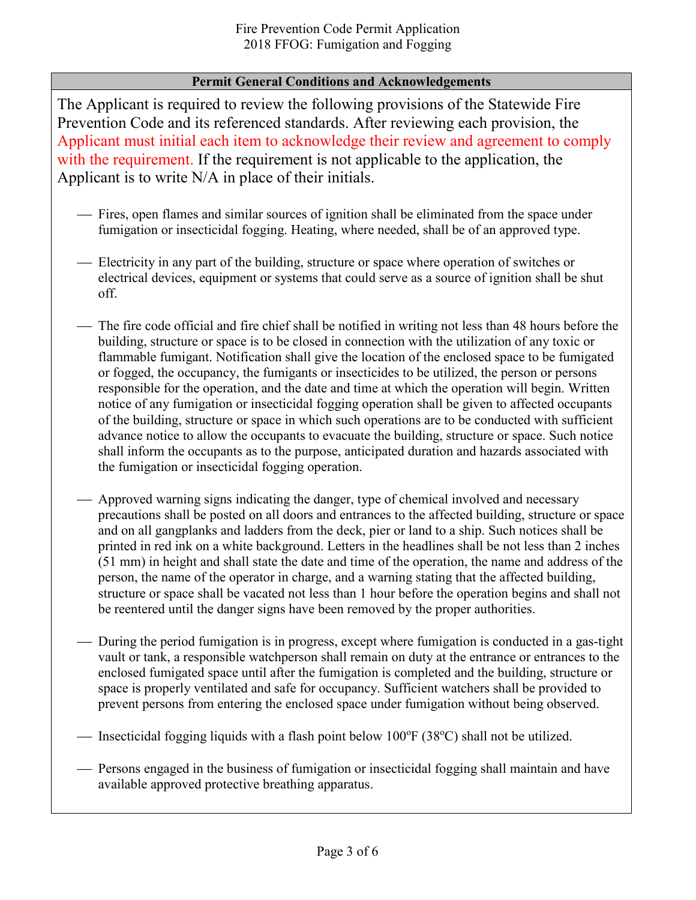#### **Permit General Conditions and Acknowledgements**

The Applicant is required to review the following provisions of the Statewide Fire Prevention Code and its referenced standards. After reviewing each provision, the Applicant must initial each item to acknowledge their review and agreement to comply with the requirement. If the requirement is not applicable to the application, the Applicant is to write N/A in place of their initials.

- Fires, open flames and similar sources of ignition shall be eliminated from the space under fumigation or insecticidal fogging. Heating, where needed, shall be of an approved type.
- Electricity in any part of the building, structure or space where operation of switches or electrical devices, equipment or systems that could serve as a source of ignition shall be shut off.
- The fire code official and fire chief shall be notified in writing not less than 48 hours before the building, structure or space is to be closed in connection with the utilization of any toxic or flammable fumigant. Notification shall give the location of the enclosed space to be fumigated or fogged, the occupancy, the fumigants or insecticides to be utilized, the person or persons responsible for the operation, and the date and time at which the operation will begin. Written notice of any fumigation or insecticidal fogging operation shall be given to affected occupants of the building, structure or space in which such operations are to be conducted with sufficient advance notice to allow the occupants to evacuate the building, structure or space. Such notice shall inform the occupants as to the purpose, anticipated duration and hazards associated with the fumigation or insecticidal fogging operation.
- Approved warning signs indicating the danger, type of chemical involved and necessary precautions shall be posted on all doors and entrances to the affected building, structure or space and on all gangplanks and ladders from the deck, pier or land to a ship. Such notices shall be printed in red ink on a white background. Letters in the headlines shall be not less than 2 inches (51 mm) in height and shall state the date and time of the operation, the name and address of the person, the name of the operator in charge, and a warning stating that the affected building, structure or space shall be vacated not less than 1 hour before the operation begins and shall not be reentered until the danger signs have been removed by the proper authorities.
- During the period fumigation is in progress, except where fumigation is conducted in a gas-tight vault or tank, a responsible watchperson shall remain on duty at the entrance or entrances to the enclosed fumigated space until after the fumigation is completed and the building, structure or space is properly ventilated and safe for occupancy. Sufficient watchers shall be provided to prevent persons from entering the enclosed space under fumigation without being observed.

- Insecticidal fogging liquids with a flash point below 100°F (38°C) shall not be utilized.

 Persons engaged in the business of fumigation or insecticidal fogging shall maintain and have available approved protective breathing apparatus.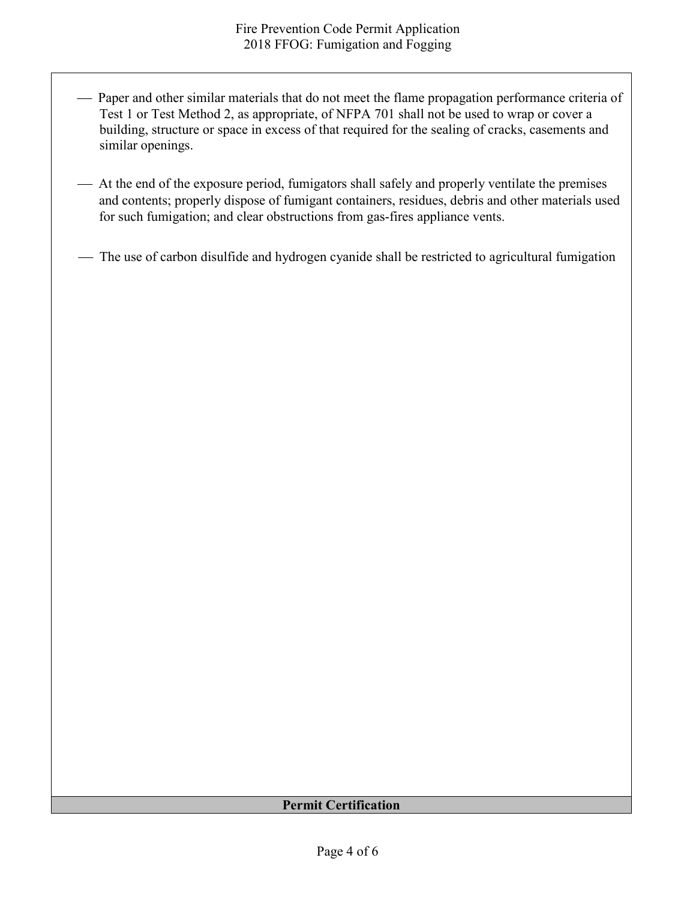- Paper and other similar materials that do not meet the flame propagation performance criteria of Test 1 or Test Method 2, as appropriate, of NFPA 701 shall not be used to wrap or cover a building, structure or space in excess of that required for the sealing of cracks, casements and similar openings.
- At the end of the exposure period, fumigators shall safely and properly ventilate the premises and contents; properly dispose of fumigant containers, residues, debris and other materials used for such fumigation; and clear obstructions from gas-fires appliance vents.
- The use of carbon disulfide and hydrogen cyanide shall be restricted to agricultural fumigation

#### **Permit Certification**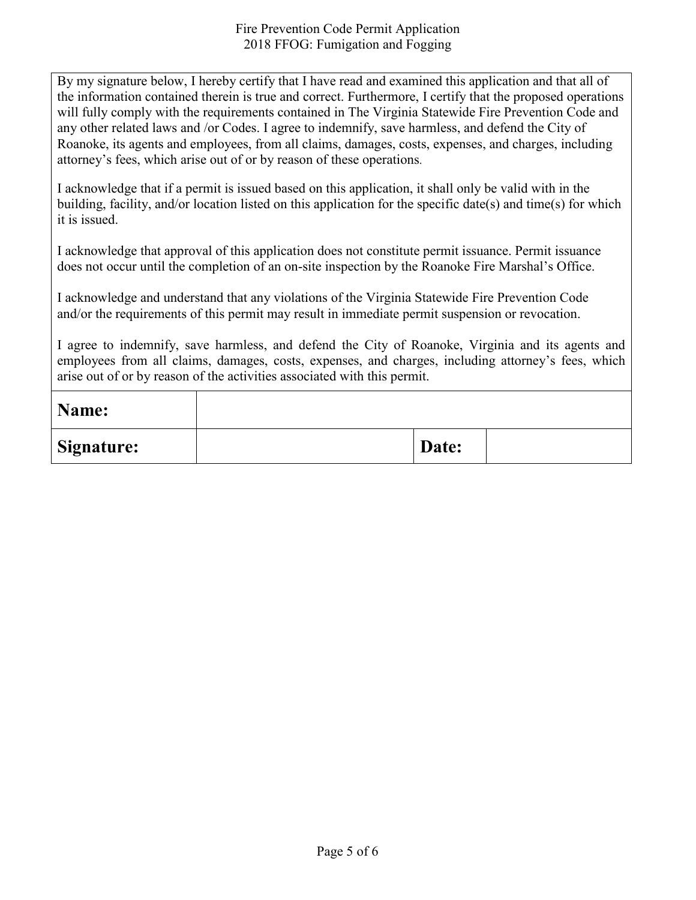By my signature below, I hereby certify that I have read and examined this application and that all of the information contained therein is true and correct. Furthermore, I certify that the proposed operations will fully comply with the requirements contained in The Virginia Statewide Fire Prevention Code and any other related laws and /or Codes. I agree to indemnify, save harmless, and defend the City of Roanoke, its agents and employees, from all claims, damages, costs, expenses, and charges, including attorney's fees, which arise out of or by reason of these operations.

I acknowledge that if a permit is issued based on this application, it shall only be valid with in the building, facility, and/or location listed on this application for the specific date(s) and time(s) for which it is issued.

I acknowledge that approval of this application does not constitute permit issuance. Permit issuance does not occur until the completion of an on-site inspection by the Roanoke Fire Marshal's Office.

I acknowledge and understand that any violations of the Virginia Statewide Fire Prevention Code and/or the requirements of this permit may result in immediate permit suspension or revocation.

I agree to indemnify, save harmless, and defend the City of Roanoke, Virginia and its agents and employees from all claims, damages, costs, expenses, and charges, including attorney's fees, which arise out of or by reason of the activities associated with this permit.

| Name:             |       |  |
|-------------------|-------|--|
| <b>Signature:</b> | Date: |  |